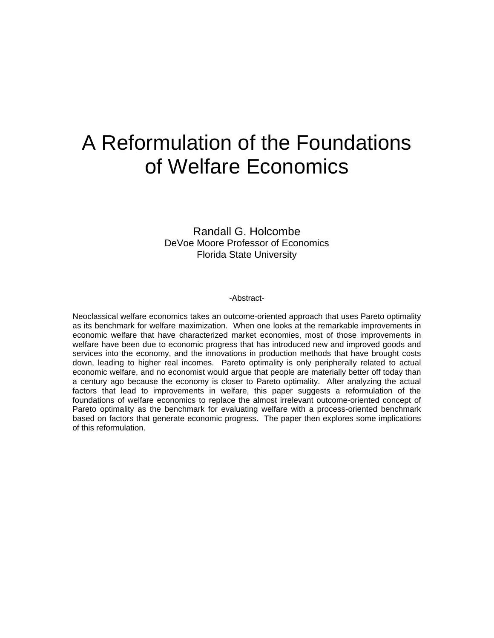# A Reformulation of the Foundations of Welfare Economics

Randall G. Holcombe DeVoe Moore Professor of Economics Florida State University

#### -Abstract-

Neoclassical welfare economics takes an outcome-oriented approach that uses Pareto optimality as its benchmark for welfare maximization. When one looks at the remarkable improvements in economic welfare that have characterized market economies, most of those improvements in welfare have been due to economic progress that has introduced new and improved goods and services into the economy, and the innovations in production methods that have brought costs down, leading to higher real incomes. Pareto optimality is only peripherally related to actual economic welfare, and no economist would argue that people are materially better off today than a century ago because the economy is closer to Pareto optimality. After analyzing the actual factors that lead to improvements in welfare, this paper suggests a reformulation of the foundations of welfare economics to replace the almost irrelevant outcome-oriented concept of Pareto optimality as the benchmark for evaluating welfare with a process-oriented benchmark based on factors that generate economic progress. The paper then explores some implications of this reformulation.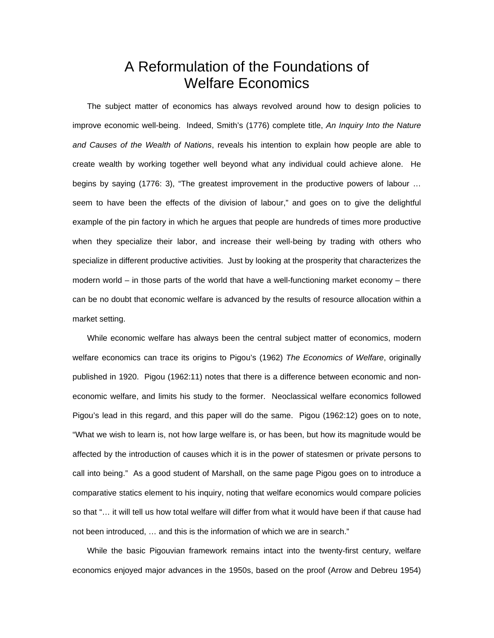## A Reformulation of the Foundations of Welfare Economics

The subject matter of economics has always revolved around how to design policies to improve economic well-being. Indeed, Smith's (1776) complete title, *An Inquiry Into the Nature and Causes of the Wealth of Nations*, reveals his intention to explain how people are able to create wealth by working together well beyond what any individual could achieve alone. He begins by saying (1776: 3), "The greatest improvement in the productive powers of labour … seem to have been the effects of the division of labour," and goes on to give the delightful example of the pin factory in which he argues that people are hundreds of times more productive when they specialize their labor, and increase their well-being by trading with others who specialize in different productive activities. Just by looking at the prosperity that characterizes the modern world – in those parts of the world that have a well-functioning market economy – there can be no doubt that economic welfare is advanced by the results of resource allocation within a market setting.

While economic welfare has always been the central subject matter of economics, modern welfare economics can trace its origins to Pigou's (1962) *The Economics of Welfare*, originally published in 1920. Pigou (1962:11) notes that there is a difference between economic and noneconomic welfare, and limits his study to the former. Neoclassical welfare economics followed Pigou's lead in this regard, and this paper will do the same. Pigou (1962:12) goes on to note, "What we wish to learn is, not how large welfare is, or has been, but how its magnitude would be affected by the introduction of causes which it is in the power of statesmen or private persons to call into being." As a good student of Marshall, on the same page Pigou goes on to introduce a comparative statics element to his inquiry, noting that welfare economics would compare policies so that "… it will tell us how total welfare will differ from what it would have been if that cause had not been introduced, … and this is the information of which we are in search."

While the basic Pigouvian framework remains intact into the twenty-first century, welfare economics enjoyed major advances in the 1950s, based on the proof (Arrow and Debreu 1954)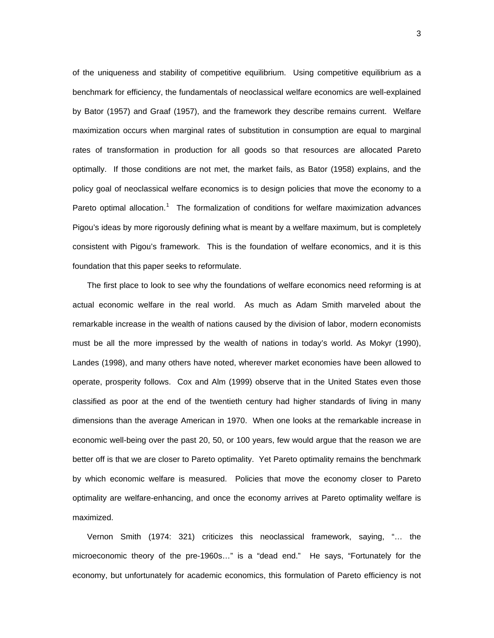of the uniqueness and stability of competitive equilibrium. Using competitive equilibrium as a benchmark for efficiency, the fundamentals of neoclassical welfare economics are well-explained by Bator (1957) and Graaf (1957), and the framework they describe remains current. Welfare maximization occurs when marginal rates of substitution in consumption are equal to marginal rates of transformation in production for all goods so that resources are allocated Pareto optimally. If those conditions are not met, the market fails, as Bator (1958) explains, and the policy goal of neoclassical welfare economics is to design policies that move the economy to a Pareto optimal allocation.<sup>[1](#page-22-0)</sup> The formalization of conditions for welfare maximization advances Pigou's ideas by more rigorously defining what is meant by a welfare maximum, but is completely consistent with Pigou's framework. This is the foundation of welfare economics, and it is this foundation that this paper seeks to reformulate.

The first place to look to see why the foundations of welfare economics need reforming is at actual economic welfare in the real world. As much as Adam Smith marveled about the remarkable increase in the wealth of nations caused by the division of labor, modern economists must be all the more impressed by the wealth of nations in today's world. As Mokyr (1990), Landes (1998), and many others have noted, wherever market economies have been allowed to operate, prosperity follows. Cox and Alm (1999) observe that in the United States even those classified as poor at the end of the twentieth century had higher standards of living in many dimensions than the average American in 1970. When one looks at the remarkable increase in economic well-being over the past 20, 50, or 100 years, few would argue that the reason we are better off is that we are closer to Pareto optimality. Yet Pareto optimality remains the benchmark by which economic welfare is measured. Policies that move the economy closer to Pareto optimality are welfare-enhancing, and once the economy arrives at Pareto optimality welfare is maximized.

Vernon Smith (1974: 321) criticizes this neoclassical framework, saying, "… the microeconomic theory of the pre-1960s…" is a "dead end." He says, "Fortunately for the economy, but unfortunately for academic economics, this formulation of Pareto efficiency is not

3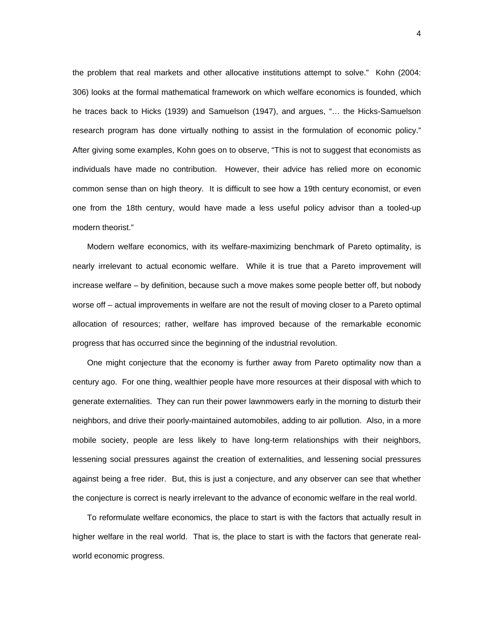the problem that real markets and other allocative institutions attempt to solve." Kohn (2004: 306) looks at the formal mathematical framework on which welfare economics is founded, which he traces back to Hicks (1939) and Samuelson (1947), and argues, "… the Hicks-Samuelson research program has done virtually nothing to assist in the formulation of economic policy." After giving some examples, Kohn goes on to observe, "This is not to suggest that economists as individuals have made no contribution. However, their advice has relied more on economic common sense than on high theory. It is difficult to see how a 19th century economist, or even one from the 18th century, would have made a less useful policy advisor than a tooled-up modern theorist."

Modern welfare economics, with its welfare-maximizing benchmark of Pareto optimality, is nearly irrelevant to actual economic welfare. While it is true that a Pareto improvement will increase welfare – by definition, because such a move makes some people better off, but nobody worse off – actual improvements in welfare are not the result of moving closer to a Pareto optimal allocation of resources; rather, welfare has improved because of the remarkable economic progress that has occurred since the beginning of the industrial revolution.

One might conjecture that the economy is further away from Pareto optimality now than a century ago. For one thing, wealthier people have more resources at their disposal with which to generate externalities. They can run their power lawnmowers early in the morning to disturb their neighbors, and drive their poorly-maintained automobiles, adding to air pollution. Also, in a more mobile society, people are less likely to have long-term relationships with their neighbors, lessening social pressures against the creation of externalities, and lessening social pressures against being a free rider. But, this is just a conjecture, and any observer can see that whether the conjecture is correct is nearly irrelevant to the advance of economic welfare in the real world.

To reformulate welfare economics, the place to start is with the factors that actually result in higher welfare in the real world. That is, the place to start is with the factors that generate realworld economic progress.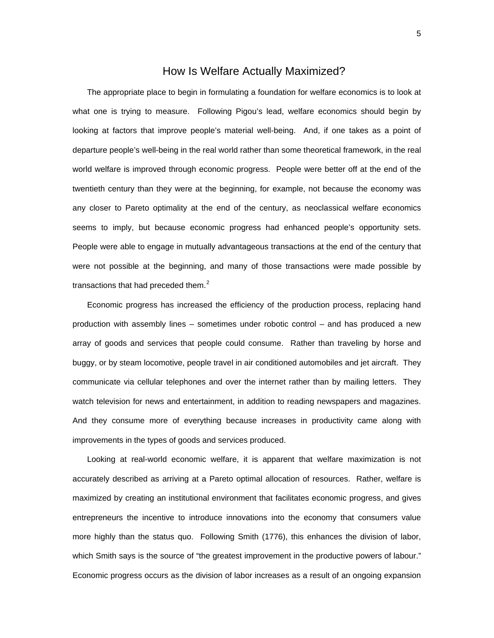#### How Is Welfare Actually Maximized?

The appropriate place to begin in formulating a foundation for welfare economics is to look at what one is trying to measure. Following Pigou's lead, welfare economics should begin by looking at factors that improve people's material well-being. And, if one takes as a point of departure people's well-being in the real world rather than some theoretical framework, in the real world welfare is improved through economic progress. People were better off at the end of the twentieth century than they were at the beginning, for example, not because the economy was any closer to Pareto optimality at the end of the century, as neoclassical welfare economics seems to imply, but because economic progress had enhanced people's opportunity sets. People were able to engage in mutually advantageous transactions at the end of the century that were not possible at the beginning, and many of those transactions were made possible by transactions that had preceded them. $<sup>2</sup>$  $<sup>2</sup>$  $<sup>2</sup>$ </sup>

Economic progress has increased the efficiency of the production process, replacing hand production with assembly lines – sometimes under robotic control – and has produced a new array of goods and services that people could consume. Rather than traveling by horse and buggy, or by steam locomotive, people travel in air conditioned automobiles and jet aircraft. They communicate via cellular telephones and over the internet rather than by mailing letters. They watch television for news and entertainment, in addition to reading newspapers and magazines. And they consume more of everything because increases in productivity came along with improvements in the types of goods and services produced.

Looking at real-world economic welfare, it is apparent that welfare maximization is not accurately described as arriving at a Pareto optimal allocation of resources. Rather, welfare is maximized by creating an institutional environment that facilitates economic progress, and gives entrepreneurs the incentive to introduce innovations into the economy that consumers value more highly than the status quo. Following Smith (1776), this enhances the division of labor, which Smith says is the source of "the greatest improvement in the productive powers of labour." Economic progress occurs as the division of labor increases as a result of an ongoing expansion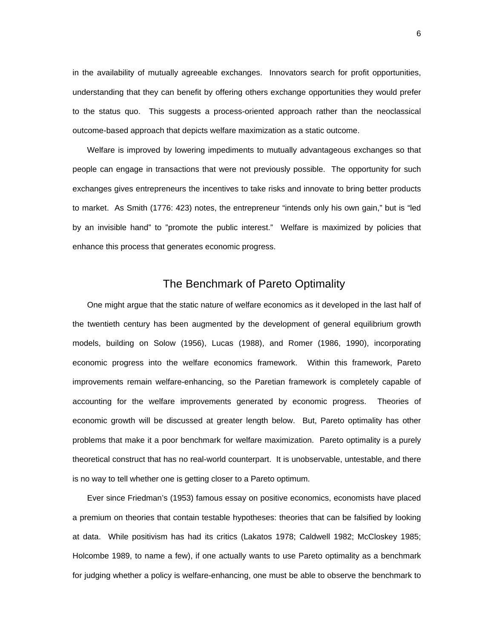in the availability of mutually agreeable exchanges. Innovators search for profit opportunities, understanding that they can benefit by offering others exchange opportunities they would prefer to the status quo. This suggests a process-oriented approach rather than the neoclassical outcome-based approach that depicts welfare maximization as a static outcome.

Welfare is improved by lowering impediments to mutually advantageous exchanges so that people can engage in transactions that were not previously possible. The opportunity for such exchanges gives entrepreneurs the incentives to take risks and innovate to bring better products to market. As Smith (1776: 423) notes, the entrepreneur "intends only his own gain," but is "led by an invisible hand" to "promote the public interest." Welfare is maximized by policies that enhance this process that generates economic progress.

#### The Benchmark of Pareto Optimality

One might argue that the static nature of welfare economics as it developed in the last half of the twentieth century has been augmented by the development of general equilibrium growth models, building on Solow (1956), Lucas (1988), and Romer (1986, 1990), incorporating economic progress into the welfare economics framework. Within this framework, Pareto improvements remain welfare-enhancing, so the Paretian framework is completely capable of accounting for the welfare improvements generated by economic progress. Theories of economic growth will be discussed at greater length below. But, Pareto optimality has other problems that make it a poor benchmark for welfare maximization. Pareto optimality is a purely theoretical construct that has no real-world counterpart. It is unobservable, untestable, and there is no way to tell whether one is getting closer to a Pareto optimum.

Ever since Friedman's (1953) famous essay on positive economics, economists have placed a premium on theories that contain testable hypotheses: theories that can be falsified by looking at data. While positivism has had its critics (Lakatos 1978; Caldwell 1982; McCloskey 1985; Holcombe 1989, to name a few), if one actually wants to use Pareto optimality as a benchmark for judging whether a policy is welfare-enhancing, one must be able to observe the benchmark to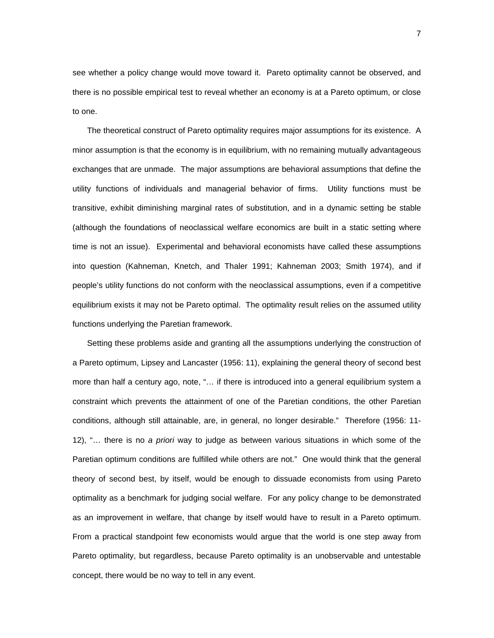see whether a policy change would move toward it. Pareto optimality cannot be observed, and there is no possible empirical test to reveal whether an economy is at a Pareto optimum, or close to one.

The theoretical construct of Pareto optimality requires major assumptions for its existence. A minor assumption is that the economy is in equilibrium, with no remaining mutually advantageous exchanges that are unmade. The major assumptions are behavioral assumptions that define the utility functions of individuals and managerial behavior of firms. Utility functions must be transitive, exhibit diminishing marginal rates of substitution, and in a dynamic setting be stable (although the foundations of neoclassical welfare economics are built in a static setting where time is not an issue). Experimental and behavioral economists have called these assumptions into question (Kahneman, Knetch, and Thaler 1991; Kahneman 2003; Smith 1974), and if people's utility functions do not conform with the neoclassical assumptions, even if a competitive equilibrium exists it may not be Pareto optimal. The optimality result relies on the assumed utility functions underlying the Paretian framework.

Setting these problems aside and granting all the assumptions underlying the construction of a Pareto optimum, Lipsey and Lancaster (1956: 11), explaining the general theory of second best more than half a century ago, note, "… if there is introduced into a general equilibrium system a constraint which prevents the attainment of one of the Paretian conditions, the other Paretian conditions, although still attainable, are, in general, no longer desirable." Therefore (1956: 11- 12), "… there is no *a priori* way to judge as between various situations in which some of the Paretian optimum conditions are fulfilled while others are not." One would think that the general theory of second best, by itself, would be enough to dissuade economists from using Pareto optimality as a benchmark for judging social welfare. For any policy change to be demonstrated as an improvement in welfare, that change by itself would have to result in a Pareto optimum. From a practical standpoint few economists would argue that the world is one step away from Pareto optimality, but regardless, because Pareto optimality is an unobservable and untestable concept, there would be no way to tell in any event.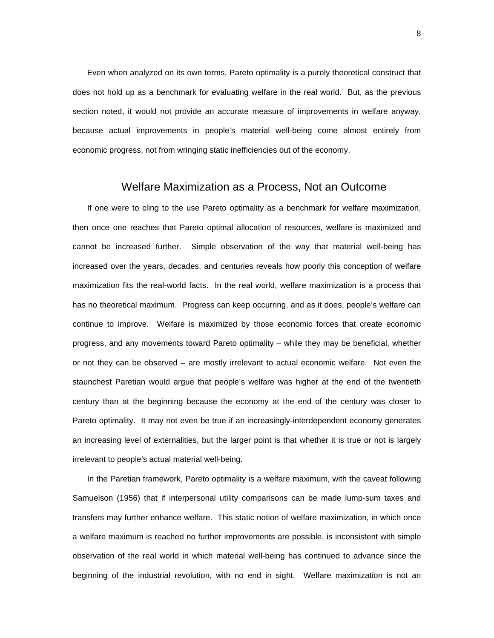Even when analyzed on its own terms, Pareto optimality is a purely theoretical construct that does not hold up as a benchmark for evaluating welfare in the real world. But, as the previous section noted, it would not provide an accurate measure of improvements in welfare anyway, because actual improvements in people's material well-being come almost entirely from economic progress, not from wringing static inefficiencies out of the economy.

#### Welfare Maximization as a Process, Not an Outcome

If one were to cling to the use Pareto optimality as a benchmark for welfare maximization, then once one reaches that Pareto optimal allocation of resources, welfare is maximized and cannot be increased further. Simple observation of the way that material well-being has increased over the years, decades, and centuries reveals how poorly this conception of welfare maximization fits the real-world facts. In the real world, welfare maximization is a process that has no theoretical maximum. Progress can keep occurring, and as it does, people's welfare can continue to improve. Welfare is maximized by those economic forces that create economic progress, and any movements toward Pareto optimality – while they may be beneficial, whether or not they can be observed – are mostly irrelevant to actual economic welfare. Not even the staunchest Paretian would argue that people's welfare was higher at the end of the twentieth century than at the beginning because the economy at the end of the century was closer to Pareto optimality. It may not even be true if an increasingly-interdependent economy generates an increasing level of externalities, but the larger point is that whether it is true or not is largely irrelevant to people's actual material well-being.

In the Paretian framework, Pareto optimality is a welfare maximum, with the caveat following Samuelson (1956) that if interpersonal utility comparisons can be made lump-sum taxes and transfers may further enhance welfare. This static notion of welfare maximization, in which once a welfare maximum is reached no further improvements are possible, is inconsistent with simple observation of the real world in which material well-being has continued to advance since the beginning of the industrial revolution, with no end in sight. Welfare maximization is not an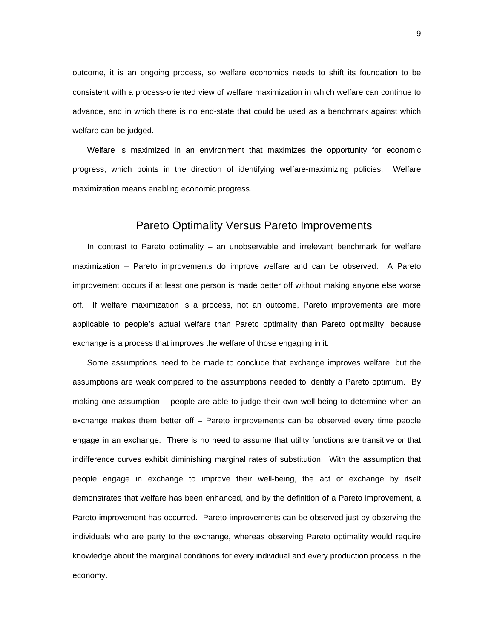outcome, it is an ongoing process, so welfare economics needs to shift its foundation to be consistent with a process-oriented view of welfare maximization in which welfare can continue to advance, and in which there is no end-state that could be used as a benchmark against which welfare can be judged.

Welfare is maximized in an environment that maximizes the opportunity for economic progress, which points in the direction of identifying welfare-maximizing policies. Welfare maximization means enabling economic progress.

#### Pareto Optimality Versus Pareto Improvements

In contrast to Pareto optimality – an unobservable and irrelevant benchmark for welfare maximization – Pareto improvements do improve welfare and can be observed. A Pareto improvement occurs if at least one person is made better off without making anyone else worse off. If welfare maximization is a process, not an outcome, Pareto improvements are more applicable to people's actual welfare than Pareto optimality than Pareto optimality, because exchange is a process that improves the welfare of those engaging in it.

Some assumptions need to be made to conclude that exchange improves welfare, but the assumptions are weak compared to the assumptions needed to identify a Pareto optimum. By making one assumption – people are able to judge their own well-being to determine when an exchange makes them better off – Pareto improvements can be observed every time people engage in an exchange. There is no need to assume that utility functions are transitive or that indifference curves exhibit diminishing marginal rates of substitution. With the assumption that people engage in exchange to improve their well-being, the act of exchange by itself demonstrates that welfare has been enhanced, and by the definition of a Pareto improvement, a Pareto improvement has occurred. Pareto improvements can be observed just by observing the individuals who are party to the exchange, whereas observing Pareto optimality would require knowledge about the marginal conditions for every individual and every production process in the economy.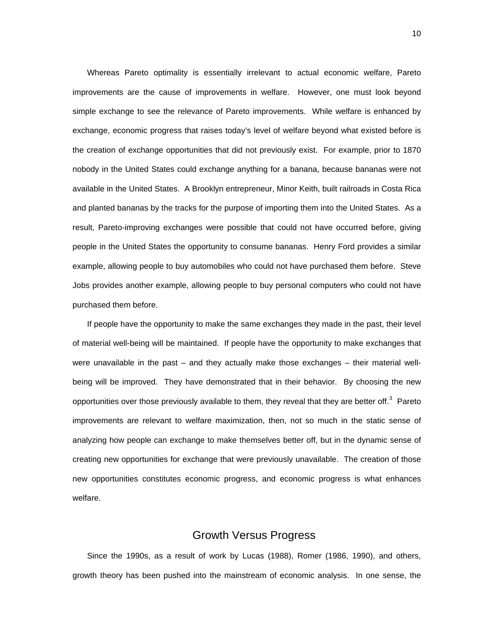Whereas Pareto optimality is essentially irrelevant to actual economic welfare, Pareto improvements are the cause of improvements in welfare. However, one must look beyond simple exchange to see the relevance of Pareto improvements. While welfare is enhanced by exchange, economic progress that raises today's level of welfare beyond what existed before is the creation of exchange opportunities that did not previously exist. For example, prior to 1870 nobody in the United States could exchange anything for a banana, because bananas were not available in the United States. A Brooklyn entrepreneur, Minor Keith, built railroads in Costa Rica and planted bananas by the tracks for the purpose of importing them into the United States. As a result, Pareto-improving exchanges were possible that could not have occurred before, giving people in the United States the opportunity to consume bananas. Henry Ford provides a similar example, allowing people to buy automobiles who could not have purchased them before. Steve Jobs provides another example, allowing people to buy personal computers who could not have purchased them before.

If people have the opportunity to make the same exchanges they made in the past, their level of material well-being will be maintained. If people have the opportunity to make exchanges that were unavailable in the past – and they actually make those exchanges – their material wellbeing will be improved. They have demonstrated that in their behavior. By choosing the new opportunities over those previously available to them, they reveal that they are better off.<sup>[3](#page-22-1)</sup> Pareto improvements are relevant to welfare maximization, then, not so much in the static sense of analyzing how people can exchange to make themselves better off, but in the dynamic sense of creating new opportunities for exchange that were previously unavailable. The creation of those new opportunities constitutes economic progress, and economic progress is what enhances welfare.

#### Growth Versus Progress

Since the 1990s, as a result of work by Lucas (1988), Romer (1986, 1990), and others, growth theory has been pushed into the mainstream of economic analysis. In one sense, the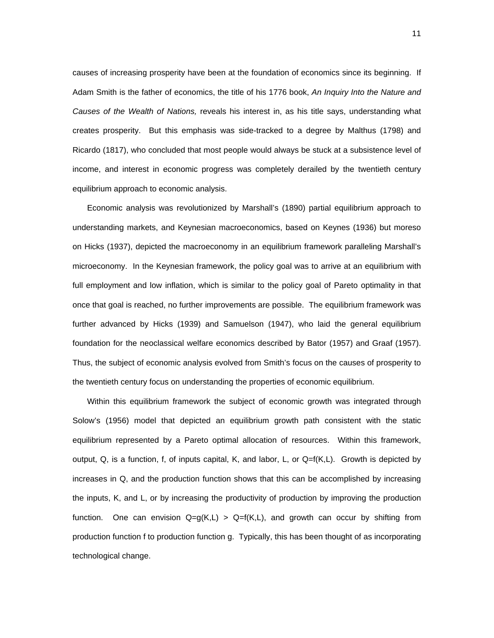causes of increasing prosperity have been at the foundation of economics since its beginning. If Adam Smith is the father of economics, the title of his 1776 book, *An Inquiry Into the Nature and Causes of the Wealth of Nations,* reveals his interest in, as his title says, understanding what creates prosperity. But this emphasis was side-tracked to a degree by Malthus (1798) and Ricardo (1817), who concluded that most people would always be stuck at a subsistence level of income, and interest in economic progress was completely derailed by the twentieth century equilibrium approach to economic analysis.

Economic analysis was revolutionized by Marshall's (1890) partial equilibrium approach to understanding markets, and Keynesian macroeconomics, based on Keynes (1936) but moreso on Hicks (1937), depicted the macroeconomy in an equilibrium framework paralleling Marshall's microeconomy. In the Keynesian framework, the policy goal was to arrive at an equilibrium with full employment and low inflation, which is similar to the policy goal of Pareto optimality in that once that goal is reached, no further improvements are possible. The equilibrium framework was further advanced by Hicks (1939) and Samuelson (1947), who laid the general equilibrium foundation for the neoclassical welfare economics described by Bator (1957) and Graaf (1957). Thus, the subject of economic analysis evolved from Smith's focus on the causes of prosperity to the twentieth century focus on understanding the properties of economic equilibrium.

Within this equilibrium framework the subject of economic growth was integrated through Solow's (1956) model that depicted an equilibrium growth path consistent with the static equilibrium represented by a Pareto optimal allocation of resources. Within this framework, output,  $Q$ , is a function, f, of inputs capital, K, and labor, L, or  $Q=f(K,L)$ . Growth is depicted by increases in Q, and the production function shows that this can be accomplished by increasing the inputs, K, and L, or by increasing the productivity of production by improving the production function. One can envision  $Q = g(K, L) > Q = f(K, L)$ , and growth can occur by shifting from production function f to production function g. Typically, this has been thought of as incorporating technological change.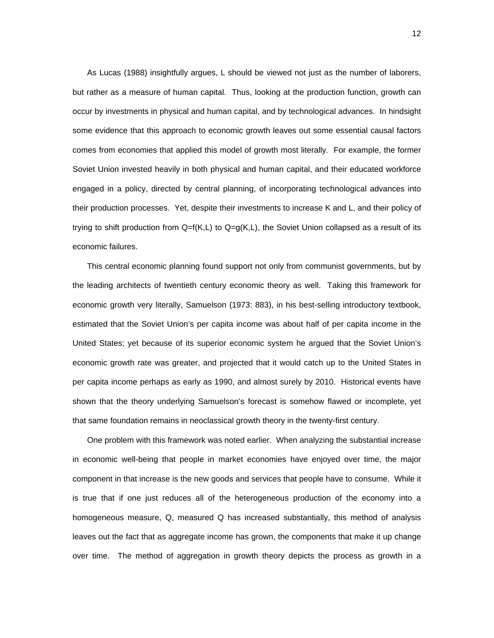As Lucas (1988) insightfully argues, L should be viewed not just as the number of laborers, but rather as a measure of human capital. Thus, looking at the production function, growth can occur by investments in physical and human capital, and by technological advances. In hindsight some evidence that this approach to economic growth leaves out some essential causal factors comes from economies that applied this model of growth most literally. For example, the former Soviet Union invested heavily in both physical and human capital, and their educated workforce engaged in a policy, directed by central planning, of incorporating technological advances into their production processes. Yet, despite their investments to increase K and L, and their policy of trying to shift production from  $Q=f(K, L)$  to  $Q=q(K, L)$ , the Soviet Union collapsed as a result of its economic failures.

This central economic planning found support not only from communist governments, but by the leading architects of twentieth century economic theory as well. Taking this framework for economic growth very literally, Samuelson (1973: 883), in his best-selling introductory textbook, estimated that the Soviet Union's per capita income was about half of per capita income in the United States; yet because of its superior economic system he argued that the Soviet Union's economic growth rate was greater, and projected that it would catch up to the United States in per capita income perhaps as early as 1990, and almost surely by 2010. Historical events have shown that the theory underlying Samuelson's forecast is somehow flawed or incomplete, yet that same foundation remains in neoclassical growth theory in the twenty-first century.

One problem with this framework was noted earlier. When analyzing the substantial increase in economic well-being that people in market economies have enjoyed over time, the major component in that increase is the new goods and services that people have to consume. While it is true that if one just reduces all of the heterogeneous production of the economy into a homogeneous measure, Q, measured Q has increased substantially, this method of analysis leaves out the fact that as aggregate income has grown, the components that make it up change over time. The method of aggregation in growth theory depicts the process as growth in a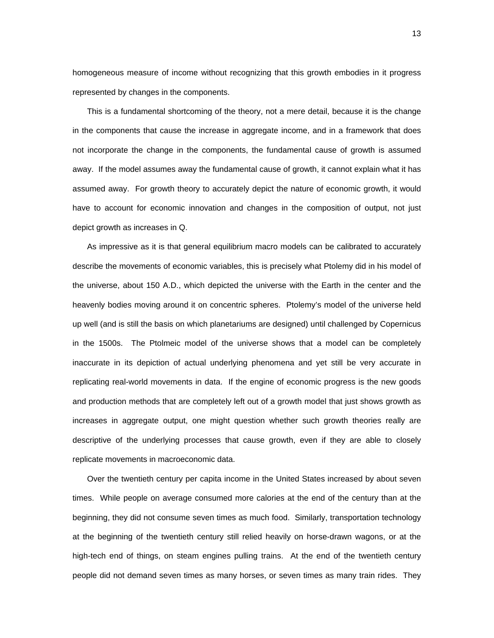homogeneous measure of income without recognizing that this growth embodies in it progress represented by changes in the components.

This is a fundamental shortcoming of the theory, not a mere detail, because it is the change in the components that cause the increase in aggregate income, and in a framework that does not incorporate the change in the components, the fundamental cause of growth is assumed away. If the model assumes away the fundamental cause of growth, it cannot explain what it has assumed away. For growth theory to accurately depict the nature of economic growth, it would have to account for economic innovation and changes in the composition of output, not just depict growth as increases in Q.

As impressive as it is that general equilibrium macro models can be calibrated to accurately describe the movements of economic variables, this is precisely what Ptolemy did in his model of the universe, about 150 A.D., which depicted the universe with the Earth in the center and the heavenly bodies moving around it on concentric spheres. Ptolemy's model of the universe held up well (and is still the basis on which planetariums are designed) until challenged by Copernicus in the 1500s. The Ptolmeic model of the universe shows that a model can be completely inaccurate in its depiction of actual underlying phenomena and yet still be very accurate in replicating real-world movements in data. If the engine of economic progress is the new goods and production methods that are completely left out of a growth model that just shows growth as increases in aggregate output, one might question whether such growth theories really are descriptive of the underlying processes that cause growth, even if they are able to closely replicate movements in macroeconomic data.

Over the twentieth century per capita income in the United States increased by about seven times. While people on average consumed more calories at the end of the century than at the beginning, they did not consume seven times as much food. Similarly, transportation technology at the beginning of the twentieth century still relied heavily on horse-drawn wagons, or at the high-tech end of things, on steam engines pulling trains. At the end of the twentieth century people did not demand seven times as many horses, or seven times as many train rides. They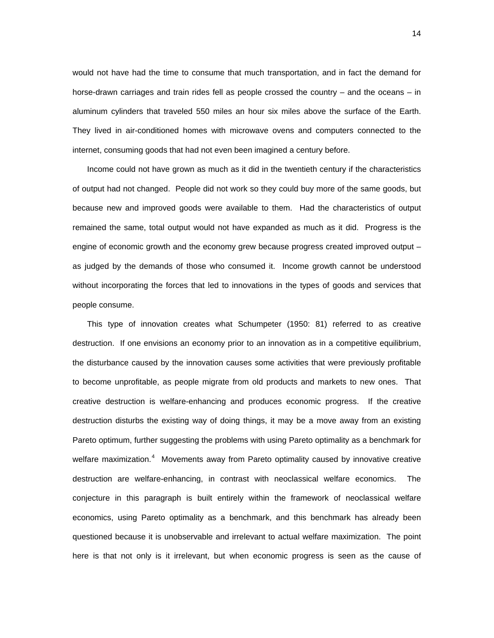would not have had the time to consume that much transportation, and in fact the demand for horse-drawn carriages and train rides fell as people crossed the country – and the oceans – in aluminum cylinders that traveled 550 miles an hour six miles above the surface of the Earth. They lived in air-conditioned homes with microwave ovens and computers connected to the internet, consuming goods that had not even been imagined a century before.

Income could not have grown as much as it did in the twentieth century if the characteristics of output had not changed. People did not work so they could buy more of the same goods, but because new and improved goods were available to them. Had the characteristics of output remained the same, total output would not have expanded as much as it did. Progress is the engine of economic growth and the economy grew because progress created improved output – as judged by the demands of those who consumed it. Income growth cannot be understood without incorporating the forces that led to innovations in the types of goods and services that people consume.

This type of innovation creates what Schumpeter (1950: 81) referred to as creative destruction. If one envisions an economy prior to an innovation as in a competitive equilibrium, the disturbance caused by the innovation causes some activities that were previously profitable to become unprofitable, as people migrate from old products and markets to new ones. That creative destruction is welfare-enhancing and produces economic progress. If the creative destruction disturbs the existing way of doing things, it may be a move away from an existing Pareto optimum, further suggesting the problems with using Pareto optimality as a benchmark for welfare maximization.<sup>[4](#page-22-1)</sup> Movements away from Pareto optimality caused by innovative creative destruction are welfare-enhancing, in contrast with neoclassical welfare economics. The conjecture in this paragraph is built entirely within the framework of neoclassical welfare economics, using Pareto optimality as a benchmark, and this benchmark has already been questioned because it is unobservable and irrelevant to actual welfare maximization. The point here is that not only is it irrelevant, but when economic progress is seen as the cause of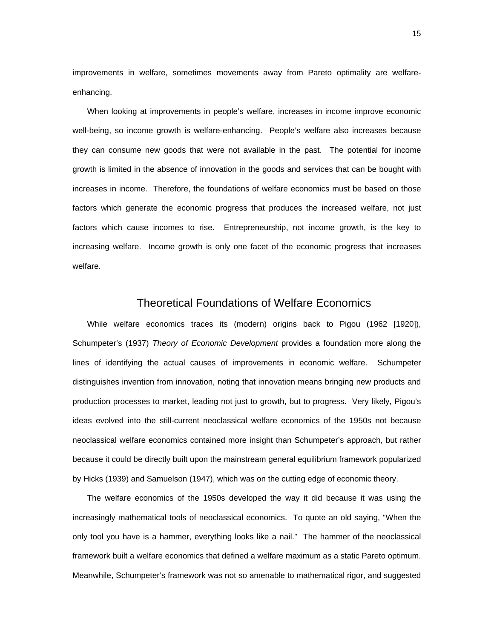improvements in welfare, sometimes movements away from Pareto optimality are welfareenhancing.

When looking at improvements in people's welfare, increases in income improve economic well-being, so income growth is welfare-enhancing. People's welfare also increases because they can consume new goods that were not available in the past. The potential for income growth is limited in the absence of innovation in the goods and services that can be bought with increases in income. Therefore, the foundations of welfare economics must be based on those factors which generate the economic progress that produces the increased welfare, not just factors which cause incomes to rise. Entrepreneurship, not income growth, is the key to increasing welfare. Income growth is only one facet of the economic progress that increases welfare.

#### Theoretical Foundations of Welfare Economics

While welfare economics traces its (modern) origins back to Pigou (1962 [1920]), Schumpeter's (1937) *Theory of Economic Development* provides a foundation more along the lines of identifying the actual causes of improvements in economic welfare. Schumpeter distinguishes invention from innovation, noting that innovation means bringing new products and production processes to market, leading not just to growth, but to progress. Very likely, Pigou's ideas evolved into the still-current neoclassical welfare economics of the 1950s not because neoclassical welfare economics contained more insight than Schumpeter's approach, but rather because it could be directly built upon the mainstream general equilibrium framework popularized by Hicks (1939) and Samuelson (1947), which was on the cutting edge of economic theory.

The welfare economics of the 1950s developed the way it did because it was using the increasingly mathematical tools of neoclassical economics. To quote an old saying, "When the only tool you have is a hammer, everything looks like a nail." The hammer of the neoclassical framework built a welfare economics that defined a welfare maximum as a static Pareto optimum. Meanwhile, Schumpeter's framework was not so amenable to mathematical rigor, and suggested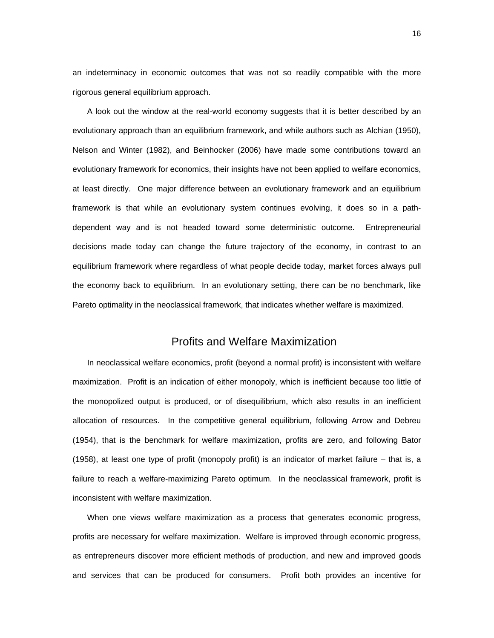an indeterminacy in economic outcomes that was not so readily compatible with the more rigorous general equilibrium approach.

A look out the window at the real-world economy suggests that it is better described by an evolutionary approach than an equilibrium framework, and while authors such as Alchian (1950), Nelson and Winter (1982), and Beinhocker (2006) have made some contributions toward an evolutionary framework for economics, their insights have not been applied to welfare economics, at least directly. One major difference between an evolutionary framework and an equilibrium framework is that while an evolutionary system continues evolving, it does so in a pathdependent way and is not headed toward some deterministic outcome. Entrepreneurial decisions made today can change the future trajectory of the economy, in contrast to an equilibrium framework where regardless of what people decide today, market forces always pull the economy back to equilibrium. In an evolutionary setting, there can be no benchmark, like Pareto optimality in the neoclassical framework, that indicates whether welfare is maximized.

### Profits and Welfare Maximization

In neoclassical welfare economics, profit (beyond a normal profit) is inconsistent with welfare maximization. Profit is an indication of either monopoly, which is inefficient because too little of the monopolized output is produced, or of disequilibrium, which also results in an inefficient allocation of resources. In the competitive general equilibrium, following Arrow and Debreu (1954), that is the benchmark for welfare maximization, profits are zero, and following Bator (1958), at least one type of profit (monopoly profit) is an indicator of market failure – that is, a failure to reach a welfare-maximizing Pareto optimum. In the neoclassical framework, profit is inconsistent with welfare maximization.

When one views welfare maximization as a process that generates economic progress, profits are necessary for welfare maximization. Welfare is improved through economic progress, as entrepreneurs discover more efficient methods of production, and new and improved goods and services that can be produced for consumers. Profit both provides an incentive for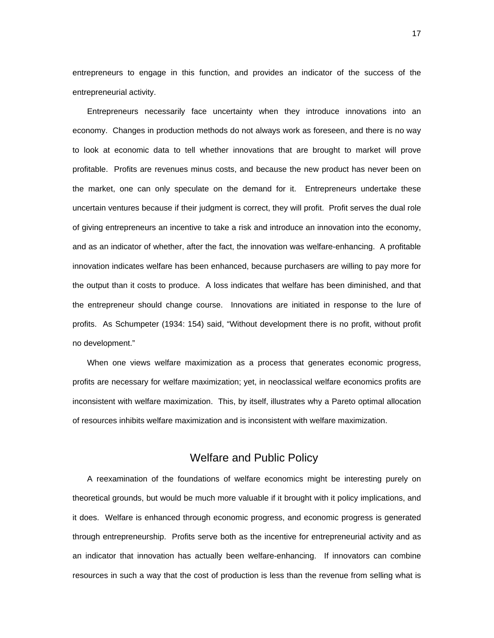entrepreneurs to engage in this function, and provides an indicator of the success of the entrepreneurial activity.

Entrepreneurs necessarily face uncertainty when they introduce innovations into an economy. Changes in production methods do not always work as foreseen, and there is no way to look at economic data to tell whether innovations that are brought to market will prove profitable. Profits are revenues minus costs, and because the new product has never been on the market, one can only speculate on the demand for it. Entrepreneurs undertake these uncertain ventures because if their judgment is correct, they will profit. Profit serves the dual role of giving entrepreneurs an incentive to take a risk and introduce an innovation into the economy, and as an indicator of whether, after the fact, the innovation was welfare-enhancing. A profitable innovation indicates welfare has been enhanced, because purchasers are willing to pay more for the output than it costs to produce. A loss indicates that welfare has been diminished, and that the entrepreneur should change course. Innovations are initiated in response to the lure of profits. As Schumpeter (1934: 154) said, "Without development there is no profit, without profit no development."

When one views welfare maximization as a process that generates economic progress, profits are necessary for welfare maximization; yet, in neoclassical welfare economics profits are inconsistent with welfare maximization. This, by itself, illustrates why a Pareto optimal allocation of resources inhibits welfare maximization and is inconsistent with welfare maximization.

#### Welfare and Public Policy

A reexamination of the foundations of welfare economics might be interesting purely on theoretical grounds, but would be much more valuable if it brought with it policy implications, and it does. Welfare is enhanced through economic progress, and economic progress is generated through entrepreneurship. Profits serve both as the incentive for entrepreneurial activity and as an indicator that innovation has actually been welfare-enhancing. If innovators can combine resources in such a way that the cost of production is less than the revenue from selling what is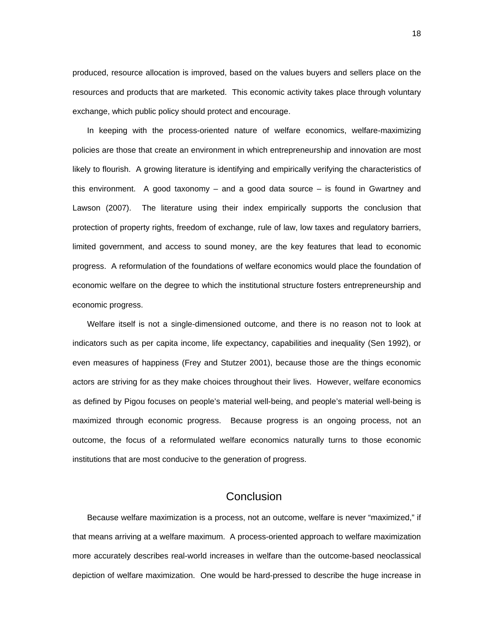produced, resource allocation is improved, based on the values buyers and sellers place on the resources and products that are marketed. This economic activity takes place through voluntary exchange, which public policy should protect and encourage.

In keeping with the process-oriented nature of welfare economics, welfare-maximizing policies are those that create an environment in which entrepreneurship and innovation are most likely to flourish. A growing literature is identifying and empirically verifying the characteristics of this environment. A good taxonomy – and a good data source – is found in Gwartney and Lawson (2007). The literature using their index empirically supports the conclusion that protection of property rights, freedom of exchange, rule of law, low taxes and regulatory barriers, limited government, and access to sound money, are the key features that lead to economic progress. A reformulation of the foundations of welfare economics would place the foundation of economic welfare on the degree to which the institutional structure fosters entrepreneurship and economic progress.

Welfare itself is not a single-dimensioned outcome, and there is no reason not to look at indicators such as per capita income, life expectancy, capabilities and inequality (Sen 1992), or even measures of happiness (Frey and Stutzer 2001), because those are the things economic actors are striving for as they make choices throughout their lives. However, welfare economics as defined by Pigou focuses on people's material well-being, and people's material well-being is maximized through economic progress. Because progress is an ongoing process, not an outcome, the focus of a reformulated welfare economics naturally turns to those economic institutions that are most conducive to the generation of progress.

#### **Conclusion**

Because welfare maximization is a process, not an outcome, welfare is never "maximized," if that means arriving at a welfare maximum. A process-oriented approach to welfare maximization more accurately describes real-world increases in welfare than the outcome-based neoclassical depiction of welfare maximization. One would be hard-pressed to describe the huge increase in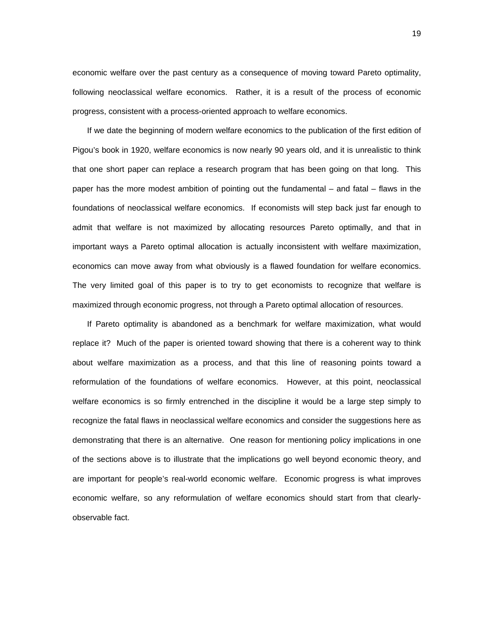economic welfare over the past century as a consequence of moving toward Pareto optimality, following neoclassical welfare economics. Rather, it is a result of the process of economic progress, consistent with a process-oriented approach to welfare economics.

If we date the beginning of modern welfare economics to the publication of the first edition of Pigou's book in 1920, welfare economics is now nearly 90 years old, and it is unrealistic to think that one short paper can replace a research program that has been going on that long. This paper has the more modest ambition of pointing out the fundamental – and fatal – flaws in the foundations of neoclassical welfare economics. If economists will step back just far enough to admit that welfare is not maximized by allocating resources Pareto optimally, and that in important ways a Pareto optimal allocation is actually inconsistent with welfare maximization, economics can move away from what obviously is a flawed foundation for welfare economics. The very limited goal of this paper is to try to get economists to recognize that welfare is maximized through economic progress, not through a Pareto optimal allocation of resources.

If Pareto optimality is abandoned as a benchmark for welfare maximization, what would replace it? Much of the paper is oriented toward showing that there is a coherent way to think about welfare maximization as a process, and that this line of reasoning points toward a reformulation of the foundations of welfare economics. However, at this point, neoclassical welfare economics is so firmly entrenched in the discipline it would be a large step simply to recognize the fatal flaws in neoclassical welfare economics and consider the suggestions here as demonstrating that there is an alternative. One reason for mentioning policy implications in one of the sections above is to illustrate that the implications go well beyond economic theory, and are important for people's real-world economic welfare. Economic progress is what improves economic welfare, so any reformulation of welfare economics should start from that clearlyobservable fact.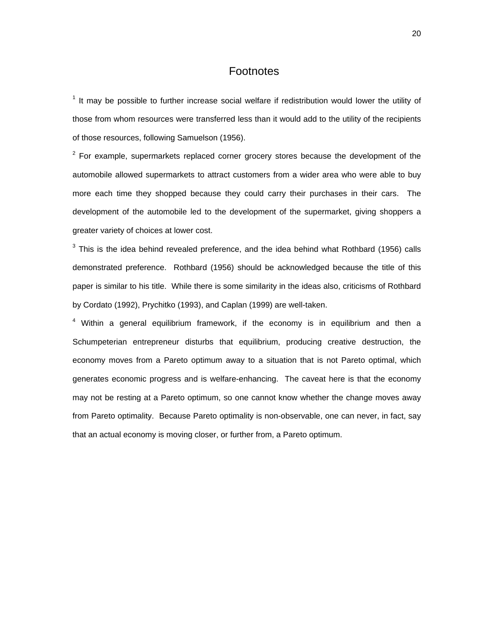#### **Footnotes**

 $1$  It may be possible to further increase social welfare if redistribution would lower the utility of those from whom resources were transferred less than it would add to the utility of the recipients of those resources, following Samuelson (1956).

 $2$  For example, supermarkets replaced corner grocery stores because the development of the automobile allowed supermarkets to attract customers from a wider area who were able to buy more each time they shopped because they could carry their purchases in their cars. The development of the automobile led to the development of the supermarket, giving shoppers a greater variety of choices at lower cost.

 $3$  This is the idea behind revealed preference, and the idea behind what Rothbard (1956) calls demonstrated preference. Rothbard (1956) should be acknowledged because the title of this paper is similar to his title. While there is some similarity in the ideas also, criticisms of Rothbard by Cordato (1992), Prychitko (1993), and Caplan (1999) are well-taken.

<sup>4</sup> Within a general equilibrium framework, if the economy is in equilibrium and then a Schumpeterian entrepreneur disturbs that equilibrium, producing creative destruction, the economy moves from a Pareto optimum away to a situation that is not Pareto optimal, which generates economic progress and is welfare-enhancing. The caveat here is that the economy may not be resting at a Pareto optimum, so one cannot know whether the change moves away from Pareto optimality. Because Pareto optimality is non-observable, one can never, in fact, say that an actual economy is moving closer, or further from, a Pareto optimum.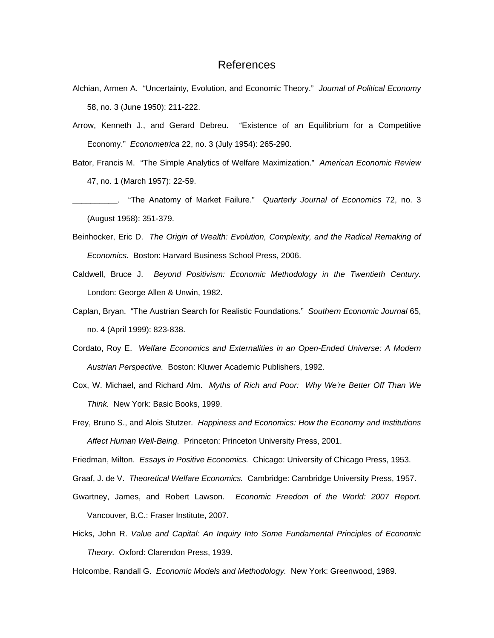#### References

- Alchian, Armen A. "Uncertainty, Evolution, and Economic Theory." *Journal of Political Economy* 58, no. 3 (June 1950): 211-222.
- Arrow, Kenneth J., and Gerard Debreu. "Existence of an Equilibrium for a Competitive Economy." *Econometrica* 22, no. 3 (July 1954): 265-290.
- Bator, Francis M. "The Simple Analytics of Welfare Maximization." *American Economic Review* 47, no. 1 (March 1957): 22-59.
- \_\_\_\_\_\_\_\_\_\_. "The Anatomy of Market Failure." *Quarterly Journal of Economics* 72, no. 3 (August 1958): 351-379.
- Beinhocker, Eric D. *The Origin of Wealth: Evolution, Complexity, and the Radical Remaking of Economics.* Boston: Harvard Business School Press, 2006.
- Caldwell, Bruce J. *Beyond Positivism: Economic Methodology in the Twentieth Century.* London: George Allen & Unwin, 1982.
- Caplan, Bryan. "The Austrian Search for Realistic Foundations." *Southern Economic Journal* 65, no. 4 (April 1999): 823-838.
- Cordato, Roy E. *Welfare Economics and Externalities in an Open-Ended Universe: A Modern Austrian Perspective.* Boston: Kluwer Academic Publishers, 1992.
- Cox, W. Michael, and Richard Alm. *Myths of Rich and Poor: Why We're Better Off Than We Think.* New York: Basic Books, 1999.
- Frey, Bruno S., and Alois Stutzer. *Happiness and Economics: How the Economy and Institutions Affect Human Well-Being.* Princeton: Princeton University Press, 2001.
- Friedman, Milton. *Essays in Positive Economics.* Chicago: University of Chicago Press, 1953.
- Graaf, J. de V. *Theoretical Welfare Economics.* Cambridge: Cambridge University Press, 1957.
- Gwartney, James, and Robert Lawson. *Economic Freedom of the World: 2007 Report.* Vancouver, B.C.: Fraser Institute, 2007.
- Hicks, John R. *Value and Capital: An Inquiry Into Some Fundamental Principles of Economic Theory.* Oxford: Clarendon Press, 1939.
- Holcombe, Randall G. *Economic Models and Methodology.* New York: Greenwood, 1989.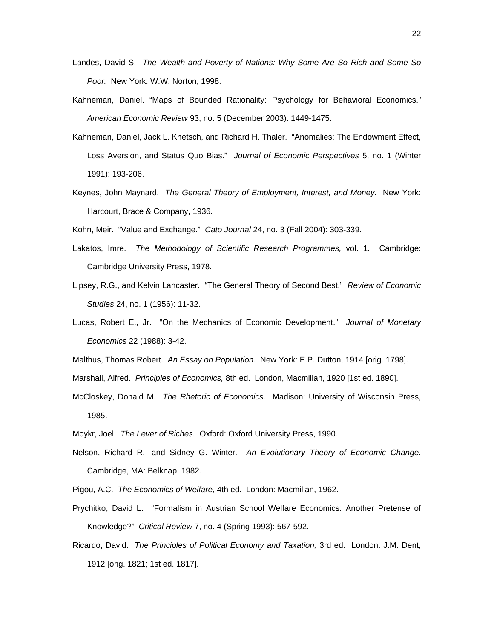- Landes, David S. *The Wealth and Poverty of Nations: Why Some Are So Rich and Some So Poor.* New York: W.W. Norton, 1998.
- Kahneman, Daniel. "Maps of Bounded Rationality: Psychology for Behavioral Economics." *American Economic Review* 93, no. 5 (December 2003): 1449-1475.
- Kahneman, Daniel, Jack L. Knetsch, and Richard H. Thaler. "Anomalies: The Endowment Effect, Loss Aversion, and Status Quo Bias." *Journal of Economic Perspectives* 5, no. 1 (Winter 1991): 193-206.
- Keynes, John Maynard. *The General Theory of Employment, Interest, and Money.* New York: Harcourt, Brace & Company, 1936.
- Kohn, Meir. "Value and Exchange." *Cato Journal* 24, no. 3 (Fall 2004): 303-339.
- Lakatos, Imre. *The Methodology of Scientific Research Programmes,* vol. 1. Cambridge: Cambridge University Press, 1978.
- Lipsey, R.G., and Kelvin Lancaster. "The General Theory of Second Best." *Review of Economic Studies* 24, no. 1 (1956): 11-32.
- Lucas, Robert E., Jr. "On the Mechanics of Economic Development." *Journal of Monetary Economics* 22 (1988): 3-42.
- Malthus, Thomas Robert. *An Essay on Population.* New York: E.P. Dutton, 1914 [orig. 1798].
- Marshall, Alfred. *Principles of Economics,* 8th ed. London, Macmillan, 1920 [1st ed. 1890].
- McCloskey, Donald M. *The Rhetoric of Economics*. Madison: University of Wisconsin Press, 1985.
- Moykr, Joel. *The Lever of Riches.* Oxford: Oxford University Press, 1990.
- Nelson, Richard R., and Sidney G. Winter. *An Evolutionary Theory of Economic Change.* Cambridge, MA: Belknap, 1982.
- Pigou, A.C. *The Economics of Welfare*, 4th ed. London: Macmillan, 1962.
- Prychitko, David L. "Formalism in Austrian School Welfare Economics: Another Pretense of Knowledge?" *Critical Review* 7, no. 4 (Spring 1993): 567-592.
- Ricardo, David. *The Principles of Political Economy and Taxation,* 3rd ed. London: J.M. Dent, 1912 [orig. 1821; 1st ed. 1817].